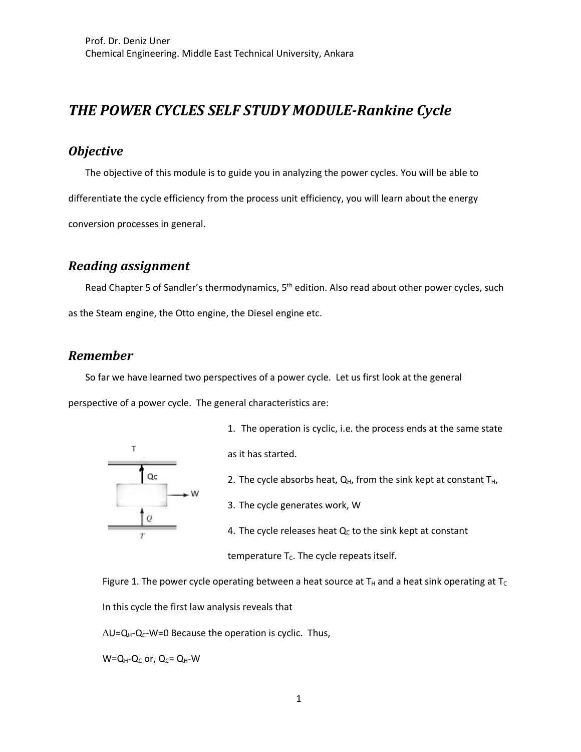# *THE POWER CYCLES SELF STUDY MODULE-Rankine Cycle*

### *Objective*

The objective of this module is to guide you in analyzing the power cycles. You will be able to differentiate the cycle efficiency from the process unit efficiency, you will learn about the energy conversion processes in general.

### *Reading assignment*

Read Chapter 5 of Sandler's thermodynamics, 5<sup>th</sup> edition. Also read about other power cycles, such as the Steam engine, the Otto engine, the Diesel engine etc.

### *Remember*

So far we have learned two perspectives of a power cycle. Let us first look at the general

perspective of a power cycle. The general characteristics are:



1. The operation is cyclic, i.e. the process ends at the same state

as it has started.

- 2. The cycle absorbs heat,  $Q_H$ , from the sink kept at constant  $T_H$ ,
- 3. The cycle generates work, W
- 4. The cycle releases heat  $Q<sub>C</sub>$  to the sink kept at constant

temperature  $T_c$ . The cycle repeats itself.

Figure 1. The power cycle operating between a heat source at  $T_H$  and a heat sink operating at  $T_C$ In this cycle the first law analysis reveals that

 $\Delta U = Q_{H} - Q_{C} - W = 0$  Because the operation is cyclic. Thus,

 $W=Q_H-Q_C$  or,  $Q_C=Q_H-W$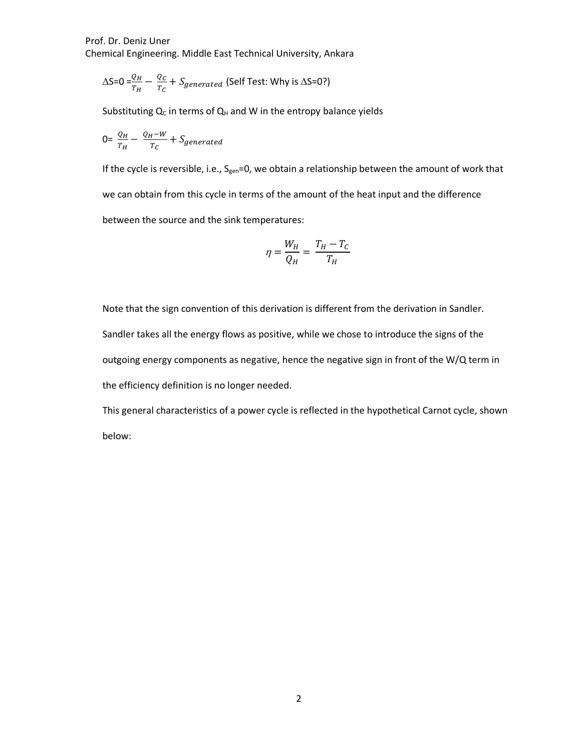$$
\Delta S = 0 = \frac{Q_H}{T_H} - \frac{Q_C}{T_C} + S_{generated}
$$
 (Self Test: Why is  $\Delta S = 0$ ?)

Substituting  $Q_C$  in terms of  $Q_H$  and W in the entropy balance yields

$$
0 = \frac{Q_H}{T_H} - \frac{Q_H - W}{T_C} + S_{generated}
$$

If the cycle is reversible, i.e., S<sub>gen</sub>=0, we obtain a relationship between the amount of work that we can obtain from this cycle in terms of the amount of the heat input and the difference between the source and the sink temperatures:

$$
\eta = \frac{W_H}{Q_H} = \frac{T_H - T_C}{T_H}
$$

Note that the sign convention of this derivation is different from the derivation in Sandler. Sandler takes all the energy flows as positive, while we chose to introduce the signs of the outgoing energy components as negative, hence the negative sign in front of the W/Q term in the efficiency definition is no longer needed.

This general characteristics of a power cycle is reflected in the hypothetical Carnot cycle, shown below: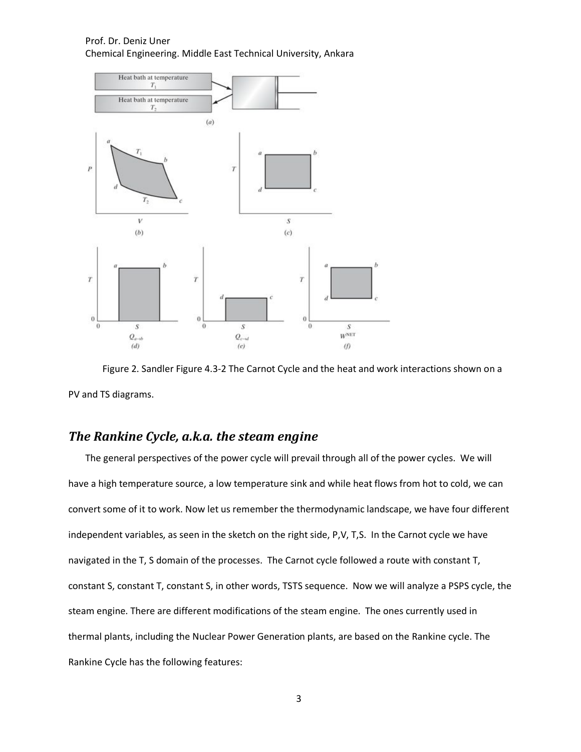

Figure 2. Sandler Figure 4.3-2 The Carnot Cycle and the heat and work interactions shown on a PV and TS diagrams.

### *The Rankine Cycle, a.k.a. the steam engine*

The general perspectives of the power cycle will prevail through all of the power cycles. We will have a high temperature source, a low temperature sink and while heat flows from hot to cold, we can convert some of it to work. Now let us remember the thermodynamic landscape, we have four different independent variables, as seen in the sketch on the right side, P,V, T,S. In the Carnot cycle we have navigated in the T, S domain of the processes. The Carnot cycle followed a route with constant T, constant S, constant T, constant S, in other words, TSTS sequence. Now we will analyze a PSPS cycle, the steam engine. There are different modifications of the steam engine. The ones currently used in thermal plants, including the Nuclear Power Generation plants, are based on the Rankine cycle. The Rankine Cycle has the following features: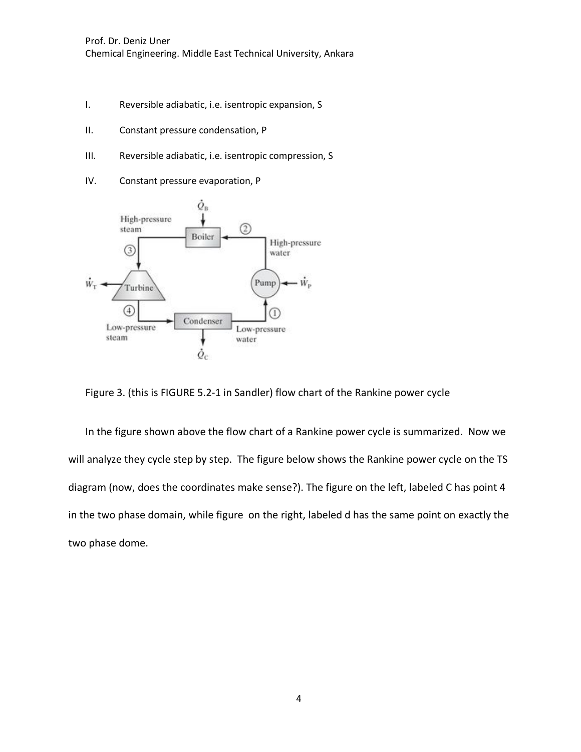- I. Reversible adiabatic, i.e. isentropic expansion, S
- II. Constant pressure condensation, P
- III. Reversible adiabatic, i.e. isentropic compression, S
- IV. Constant pressure evaporation, P



Figure 3. (this is FIGURE 5.2-1 in Sandler) flow chart of the Rankine power cycle

In the figure shown above the flow chart of a Rankine power cycle is summarized. Now we will analyze they cycle step by step. The figure below shows the Rankine power cycle on the TS diagram (now, does the coordinates make sense?). The figure on the left, labeled C has point 4 in the two phase domain, while figure on the right, labeled d has the same point on exactly the two phase dome.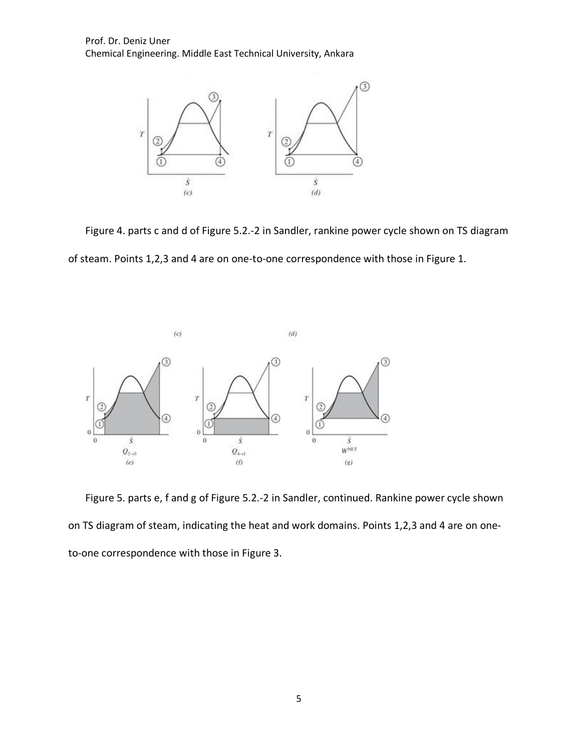

Figure 4. parts c and d of Figure 5.2.-2 in Sandler, rankine power cycle shown on TS diagram of steam. Points 1,2,3 and 4 are on one-to-one correspondence with those in Figure 1.



Figure 5. parts e, f and g of Figure 5.2.-2 in Sandler, continued. Rankine power cycle shown on TS diagram of steam, indicating the heat and work domains. Points 1,2,3 and 4 are on oneto-one correspondence with those in Figure 3.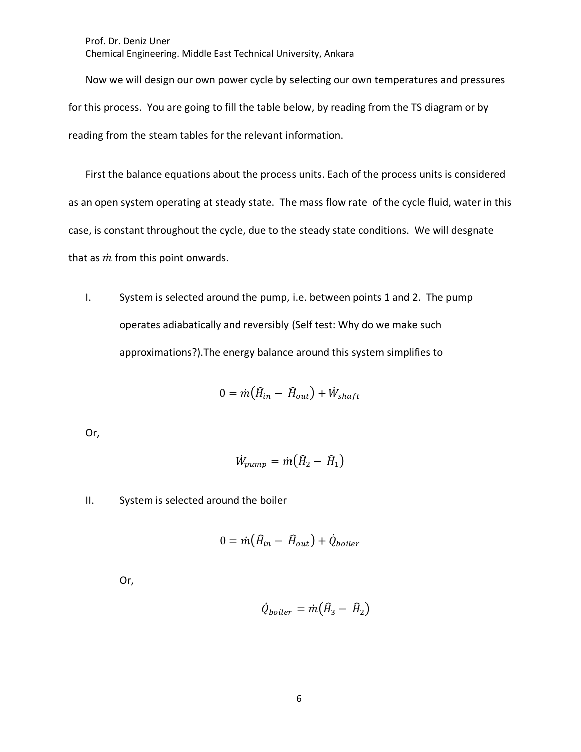Now we will design our own power cycle by selecting our own temperatures and pressures for this process. You are going to fill the table below, by reading from the TS diagram or by reading from the steam tables for the relevant information.

First the balance equations about the process units. Each of the process units is considered as an open system operating at steady state. The mass flow rate of the cycle fluid, water in this case, is constant throughout the cycle, due to the steady state conditions. We will desgnate that as  $\dot{m}$  from this point onwards.

I. System is selected around the pump, i.e. between points 1 and 2. The pump operates adiabatically and reversibly (Self test: Why do we make such approximations?).The energy balance around this system simplifies to

$$
0 = \dot{m} \big( \hat{H}_{in} - \hat{H}_{out} \big) + \dot{W}_{shaff}
$$

Or,

$$
\dot{W}_{pump} = \dot{m}(\hat{H}_2 - \hat{H}_1)
$$

II. System is selected around the boiler

$$
0 = \dot{m} \big( \hat{H}_{in} - \hat{H}_{out} \big) + \dot{Q}_{boiler}
$$

Or,

$$
\dot{Q}_{boiler} = \dot{m} \big( \hat{H}_3 - \hat{H}_2 \big)
$$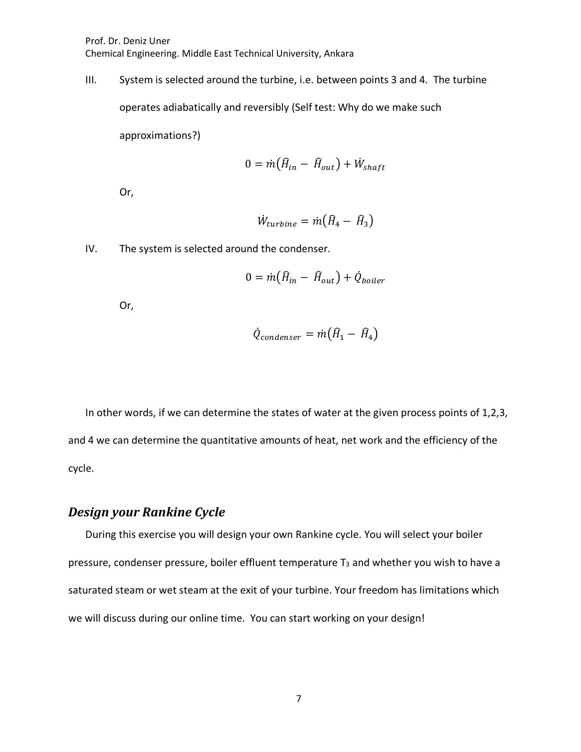III. System is selected around the turbine, i.e. between points 3 and 4. The turbine

operates adiabatically and reversibly (Self test: Why do we make such

approximations?)

$$
0 = \dot{m} \big( \hat{H}_{in} - \hat{H}_{out} \big) + \dot{W}_{shaft}
$$

Or,

$$
\dot{W}_{turbine} = \dot{m} \big( \hat{H}_4 - \hat{H}_3 \big)
$$

IV. The system is selected around the condenser.

$$
0 = \dot{m} \big( \hat{H}_{in} - \hat{H}_{out} \big) + \dot{Q}_{boiler}
$$

Or,

$$
\dot{Q}_{condenser} = \dot{m} \big( \hat{H}_1 - \hat{H}_4 \big)
$$

In other words, if we can determine the states of water at the given process points of 1,2,3, and 4 we can determine the quantitative amounts of heat, net work and the efficiency of the cycle.

### *Design your Rankine Cycle*

During this exercise you will design your own Rankine cycle. You will select your boiler pressure, condenser pressure, boiler effluent temperature  $T_3$  and whether you wish to have a saturated steam or wet steam at the exit of your turbine. Your freedom has limitations which we will discuss during our online time. You can start working on your design!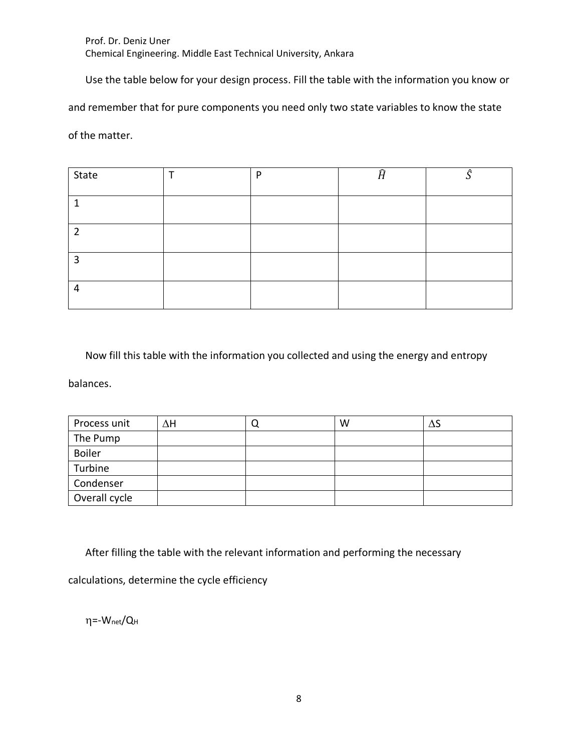Use the table below for your design process. Fill the table with the information you know or

and remember that for pure components you need only two state variables to know the state

of the matter.

| State | D | Ĥ | Α |
|-------|---|---|---|
|       |   |   |   |
| ำ     |   |   |   |
| З     |   |   |   |
| 4     |   |   |   |

Now fill this table with the information you collected and using the energy and entropy

balances.

| Process unit  | ΔН | W | ΔS |
|---------------|----|---|----|
| The Pump      |    |   |    |
| <b>Boiler</b> |    |   |    |
| Turbine       |    |   |    |
| Condenser     |    |   |    |
| Overall cycle |    |   |    |

After filling the table with the relevant information and performing the necessary

calculations, determine the cycle efficiency

 $\eta$ =-W<sub>net</sub>/Q<sub>H</sub>